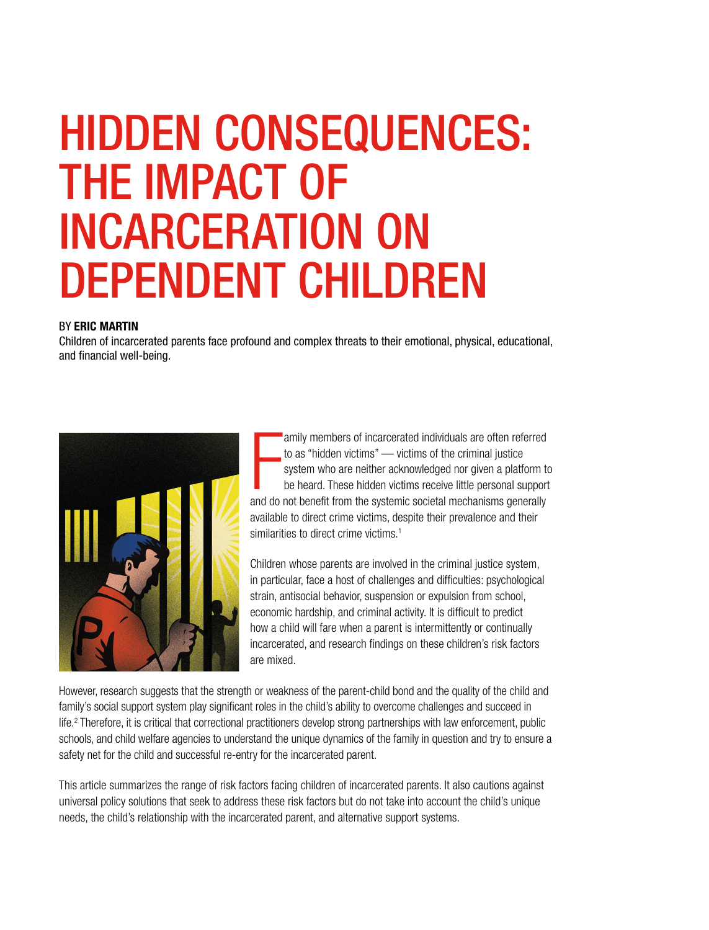# HIDDEN CONSEQUENCES: THE IMPACT OF INCARCERATION ON DEPENDENT CHILDREN

#### BY ERIC MARTIN

Children of incarcerated parents face profound and complex threats to their emotional, physical, educational, and financial well-being.



amily members of incarcerated individuals are often referred<br>to as "hidden victims" — victims of the criminal justice<br>system who are neither acknowledged nor given a platform to<br>be heard. These hidden victims receive littl to as "hidden victims" — victims of the criminal justice system who are neither acknowledged nor given a platform to be heard. These hidden victims receive little personal support and do not benefit from the systemic societal mechanisms generally available to direct crime victims, despite their prevalence and their similarities to direct crime victims.<sup>1</sup>

Children whose parents are involved in the criminal justice system, in particular, face a host of challenges and difficulties: psychological strain, antisocial behavior, suspension or expulsion from school, economic hardship, and criminal activity. It is difficult to predict how a child will fare when a parent is intermittently or continually incarcerated, and research findings on these children's risk factors are mixed.

However, research suggests that the strength or weakness of the parent-child bond and the quality of the child and family's social support system play significant roles in the child's ability to overcome challenges and succeed in life.<sup>2</sup> Therefore, it is critical that correctional practitioners develop strong partnerships with law enforcement, public schools, and child welfare agencies to understand the unique dynamics of the family in question and try to ensure a safety net for the child and successful re-entry for the incarcerated parent.

This article summarizes the range of risk factors facing children of incarcerated parents. It also cautions against universal policy solutions that seek to address these risk factors but do not take into account the child's unique needs, the child's relationship with the incarcerated parent, and alternative support systems.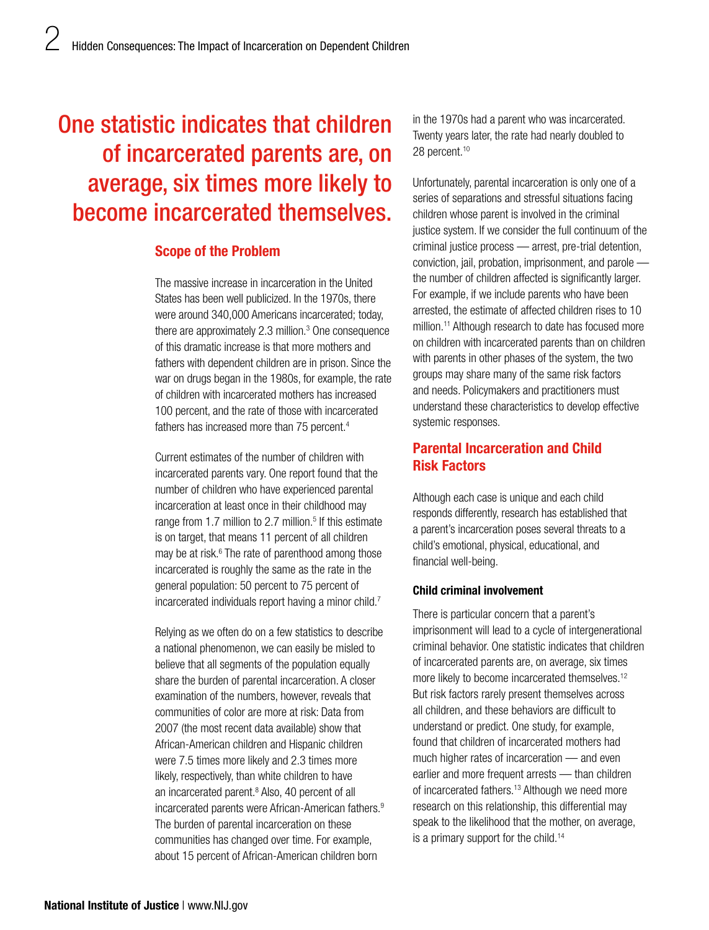# One statistic indicates that children of incarcerated parents are, on average, six times more likely to become incarcerated themselves.

## Scope of the Problem

The massive increase in incarceration in the United States has been well publicized. In the 1970s, there were around 340,000 Americans incarcerated; today, there are approximately 2.3 million.<sup>3</sup> One consequence of this dramatic increase is that more mothers and fathers with dependent children are in prison. Since the war on drugs began in the 1980s, for example, the rate of children with incarcerated mothers has increased 100 percent, and the rate of those with incarcerated fathers has increased more than 75 percent.<sup>4</sup>

Current estimates of the number of children with incarcerated parents vary. One report found that the number of children who have experienced parental incarceration at least once in their childhood may range from 1.7 million to 2.7 million.<sup>5</sup> If this estimate is on target, that means 11 percent of all children may be at risk.<sup>6</sup> The rate of parenthood among those incarcerated is roughly the same as the rate in the general population: 50 percent to 75 percent of incarcerated individuals report having a minor child.<sup>7</sup>

Relying as we often do on a few statistics to describe a national phenomenon, we can easily be misled to believe that all segments of the population equally share the burden of parental incarceration. A closer examination of the numbers, however, reveals that communities of color are more at risk: Data from 2007 (the most recent data available) show that African-American children and Hispanic children were 7.5 times more likely and 2.3 times more likely, respectively, than white children to have an incarcerated parent.<sup>8</sup> Also, 40 percent of all incarcerated parents were African-American fathers.<sup>9</sup> The burden of parental incarceration on these communities has changed over time. For example, about 15 percent of African-American children born

in the 1970s had a parent who was incarcerated. Twenty years later, the rate had nearly doubled to 28 percent.<sup>10</sup>

Unfortunately, parental incarceration is only one of a series of separations and stressful situations facing children whose parent is involved in the criminal justice system. If we consider the full continuum of the criminal justice process — arrest, pre-trial detention, conviction, jail, probation, imprisonment, and parole the number of children affected is significantly larger. For example, if we include parents who have been arrested, the estimate of affected children rises to 10 million.<sup>11</sup> Although research to date has focused more on children with incarcerated parents than on children with parents in other phases of the system, the two groups may share many of the same risk factors and needs. Policymakers and practitioners must understand these characteristics to develop effective systemic responses.

# Parental Incarceration and Child Risk Factors

Although each case is unique and each child responds differently, research has established that a parent's incarceration poses several threats to a child's emotional, physical, educational, and financial well-being.

#### Child criminal involvement

There is particular concern that a parent's imprisonment will lead to a cycle of intergenerational criminal behavior. One statistic indicates that children of incarcerated parents are, on average, six times more likely to become incarcerated themselves.<sup>12</sup> But risk factors rarely present themselves across all children, and these behaviors are difficult to understand or predict. One study, for example, found that children of incarcerated mothers had much higher rates of incarceration — and even earlier and more frequent arrests — than children of incarcerated fathers.<sup>13</sup> Although we need more research on this relationship, this differential may speak to the likelihood that the mother, on average, is a primary support for the child.<sup>14</sup>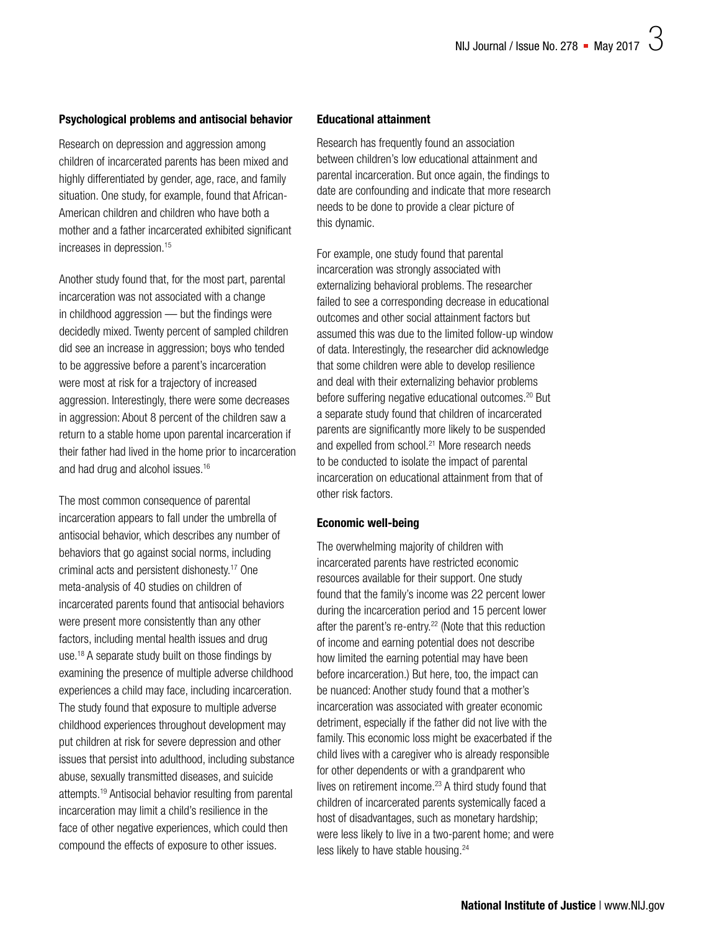#### Psychological problems and antisocial behavior

Research on depression and aggression among children of incarcerated parents has been mixed and highly differentiated by gender, age, race, and family situation. One study, for example, found that African-American children and children who have both a mother and a father incarcerated exhibited significant increases in depression.15

Another study found that, for the most part, parental incarceration was not associated with a change in childhood aggression — but the findings were decidedly mixed. Twenty percent of sampled children did see an increase in aggression; boys who tended to be aggressive before a parent's incarceration were most at risk for a trajectory of increased aggression. Interestingly, there were some decreases in aggression: About 8 percent of the children saw a return to a stable home upon parental incarceration if their father had lived in the home prior to incarceration and had drug and alcohol issues.16

The most common consequence of parental incarceration appears to fall under the umbrella of antisocial behavior, which describes any number of behaviors that go against social norms, including criminal acts and persistent dishonesty.17 One meta-analysis of 40 studies on children of incarcerated parents found that antisocial behaviors were present more consistently than any other factors, including mental health issues and drug use.<sup>18</sup> A separate study built on those findings by examining the presence of multiple adverse childhood experiences a child may face, including incarceration. The study found that exposure to multiple adverse childhood experiences throughout development may put children at risk for severe depression and other issues that persist into adulthood, including substance abuse, sexually transmitted diseases, and suicide attempts.19 Antisocial behavior resulting from parental incarceration may limit a child's resilience in the face of other negative experiences, which could then compound the effects of exposure to other issues.

#### Educational attainment

Research has frequently found an association between children's low educational attainment and parental incarceration. But once again, the findings to date are confounding and indicate that more research needs to be done to provide a clear picture of this dynamic.

For example, one study found that parental incarceration was strongly associated with externalizing behavioral problems. The researcher failed to see a corresponding decrease in educational outcomes and other social attainment factors but assumed this was due to the limited follow-up window of data. Interestingly, the researcher did acknowledge that some children were able to develop resilience and deal with their externalizing behavior problems before suffering negative educational outcomes.<sup>20</sup> But a separate study found that children of incarcerated parents are significantly more likely to be suspended and expelled from school.<sup>21</sup> More research needs to be conducted to isolate the impact of parental incarceration on educational attainment from that of other risk factors.

#### Economic well-being

The overwhelming majority of children with incarcerated parents have restricted economic resources available for their support. One study found that the family's income was 22 percent lower during the incarceration period and 15 percent lower after the parent's re-entry.<sup>22</sup> (Note that this reduction of income and earning potential does not describe how limited the earning potential may have been before incarceration.) But here, too, the impact can be nuanced: Another study found that a mother's incarceration was associated with greater economic detriment, especially if the father did not live with the family. This economic loss might be exacerbated if the child lives with a caregiver who is already responsible for other dependents or with a grandparent who lives on retirement income.<sup>23</sup> A third study found that children of incarcerated parents systemically faced a host of disadvantages, such as monetary hardship; were less likely to live in a two-parent home; and were less likely to have stable housing.<sup>24</sup>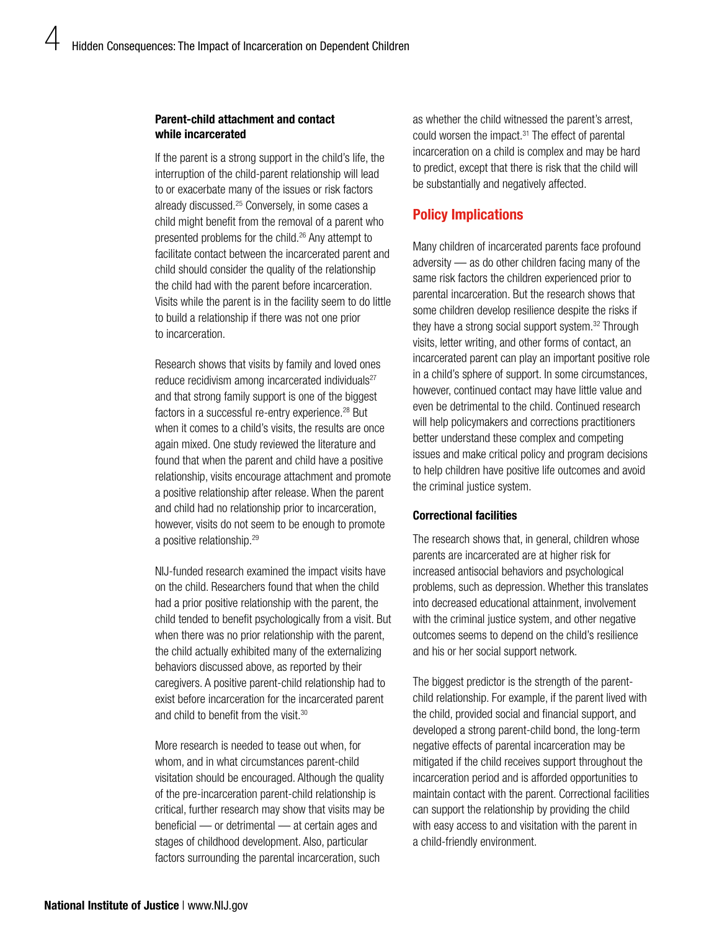#### Parent-child attachment and contact while incarcerated

If the parent is a strong support in the child's life, the interruption of the child-parent relationship will lead to or exacerbate many of the issues or risk factors already discussed.25 Conversely, in some cases a child might benefit from the removal of a parent who presented problems for the child.<sup>26</sup> Any attempt to facilitate contact between the incarcerated parent and child should consider the quality of the relationship the child had with the parent before incarceration. Visits while the parent is in the facility seem to do little to build a relationship if there was not one prior to incarceration.

Research shows that visits by family and loved ones reduce recidivism among incarcerated individuals<sup>27</sup> and that strong family support is one of the biggest factors in a successful re-entry experience.<sup>28</sup> But when it comes to a child's visits, the results are once again mixed. One study reviewed the literature and found that when the parent and child have a positive relationship, visits encourage attachment and promote a positive relationship after release. When the parent and child had no relationship prior to incarceration, however, visits do not seem to be enough to promote a positive relationship.29

NIJ-funded research examined the impact visits have on the child. Researchers found that when the child had a prior positive relationship with the parent, the child tended to benefit psychologically from a visit. But when there was no prior relationship with the parent, the child actually exhibited many of the externalizing behaviors discussed above, as reported by their caregivers. A positive parent-child relationship had to exist before incarceration for the incarcerated parent and child to benefit from the visit.<sup>30</sup>

More research is needed to tease out when, for whom, and in what circumstances parent-child visitation should be encouraged. Although the quality of the pre-incarceration parent-child relationship is critical, further research may show that visits may be beneficial — or detrimental — at certain ages and stages of childhood development. Also, particular factors surrounding the parental incarceration, such

as whether the child witnessed the parent's arrest, could worsen the impact.<sup>31</sup> The effect of parental incarceration on a child is complex and may be hard to predict, except that there is risk that the child will be substantially and negatively affected.

# Policy Implications

Many children of incarcerated parents face profound adversity — as do other children facing many of the same risk factors the children experienced prior to parental incarceration. But the research shows that some children develop resilience despite the risks if they have a strong social support system.32 Through visits, letter writing, and other forms of contact, an incarcerated parent can play an important positive role in a child's sphere of support. In some circumstances, however, continued contact may have little value and even be detrimental to the child. Continued research will help policymakers and corrections practitioners better understand these complex and competing issues and make critical policy and program decisions to help children have positive life outcomes and avoid the criminal justice system.

#### Correctional facilities

The research shows that, in general, children whose parents are incarcerated are at higher risk for increased antisocial behaviors and psychological problems, such as depression. Whether this translates into decreased educational attainment, involvement with the criminal justice system, and other negative outcomes seems to depend on the child's resilience and his or her social support network.

The biggest predictor is the strength of the parentchild relationship. For example, if the parent lived with the child, provided social and financial support, and developed a strong parent-child bond, the long-term negative effects of parental incarceration may be mitigated if the child receives support throughout the incarceration period and is afforded opportunities to maintain contact with the parent. Correctional facilities can support the relationship by providing the child with easy access to and visitation with the parent in a child-friendly environment.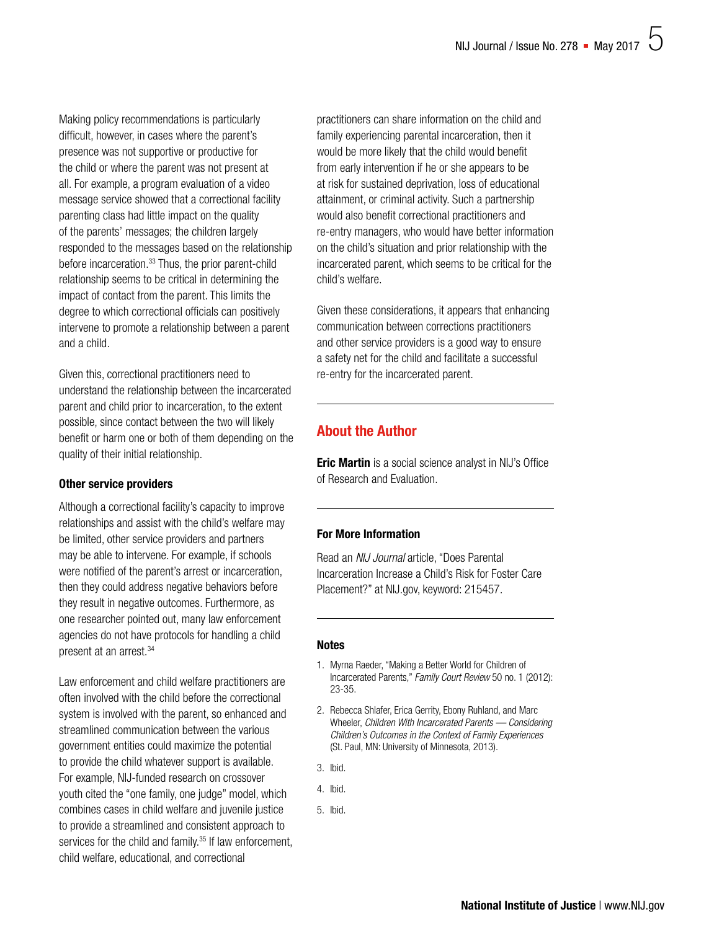Making policy recommendations is particularly difficult, however, in cases where the parent's presence was not supportive or productive for the child or where the parent was not present at all. For example, a program evaluation of a video message service showed that a correctional facility parenting class had little impact on the quality of the parents' messages; the children largely responded to the messages based on the relationship before incarceration.<sup>33</sup> Thus, the prior parent-child relationship seems to be critical in determining the impact of contact from the parent. This limits the degree to which correctional officials can positively intervene to promote a relationship between a parent and a child.

Given this, correctional practitioners need to understand the relationship between the incarcerated parent and child prior to incarceration, to the extent possible, since contact between the two will likely benefit or harm one or both of them depending on the quality of their initial relationship.

#### Other service providers

Although a correctional facility's capacity to improve relationships and assist with the child's welfare may be limited, other service providers and partners may be able to intervene. For example, if schools were notified of the parent's arrest or incarceration, then they could address negative behaviors before they result in negative outcomes. Furthermore, as one researcher pointed out, many law enforcement agencies do not have protocols for handling a child present at an arrest.34

Law enforcement and child welfare practitioners are often involved with the child before the correctional system is involved with the parent, so enhanced and streamlined communication between the various government entities could maximize the potential to provide the child whatever support is available. For example, NIJ-funded research on crossover youth cited the "one family, one judge" model, which combines cases in child welfare and juvenile justice to provide a streamlined and consistent approach to services for the child and family.<sup>35</sup> If law enforcement, child welfare, educational, and correctional

practitioners can share information on the child and family experiencing parental incarceration, then it would be more likely that the child would benefit from early intervention if he or she appears to be at risk for sustained deprivation, loss of educational attainment, or criminal activity. Such a partnership would also benefit correctional practitioners and re-entry managers, who would have better information on the child's situation and prior relationship with the incarcerated parent, which seems to be critical for the child's welfare.

Given these considerations, it appears that enhancing communication between corrections practitioners and other service providers is a good way to ensure a safety net for the child and facilitate a successful re-entry for the incarcerated parent.

# About the Author

**Eric Martin** is a social science analyst in NIJ's Office of Research and Evaluation.

### For More Information

Read an *NIJ Journal* article, "Does Parental Incarceration Increase a Child's Risk for Foster Care Placement?" at [NIJ.gov, keyword: 215457](https://nij.gov/journals/255/pages/parental_incarceration.aspx).

#### **Notes**

- 1. Myrna Raeder, "Making a Better World for Children of Incarcerated Parents," *Family Court Review* 50 no. 1 (2012): 23-35.
- 2. Rebecca Shlafer, Erica Gerrity, Ebony Ruhland, and Marc Wheeler, *Children With Incarcerated Parents — Considering Children's Outcomes in the Context of Family Experiences* (St. Paul, MN: University of Minnesota, 2013).
- 3. Ibid.
- 4. Ibid.
- 5. Ibid.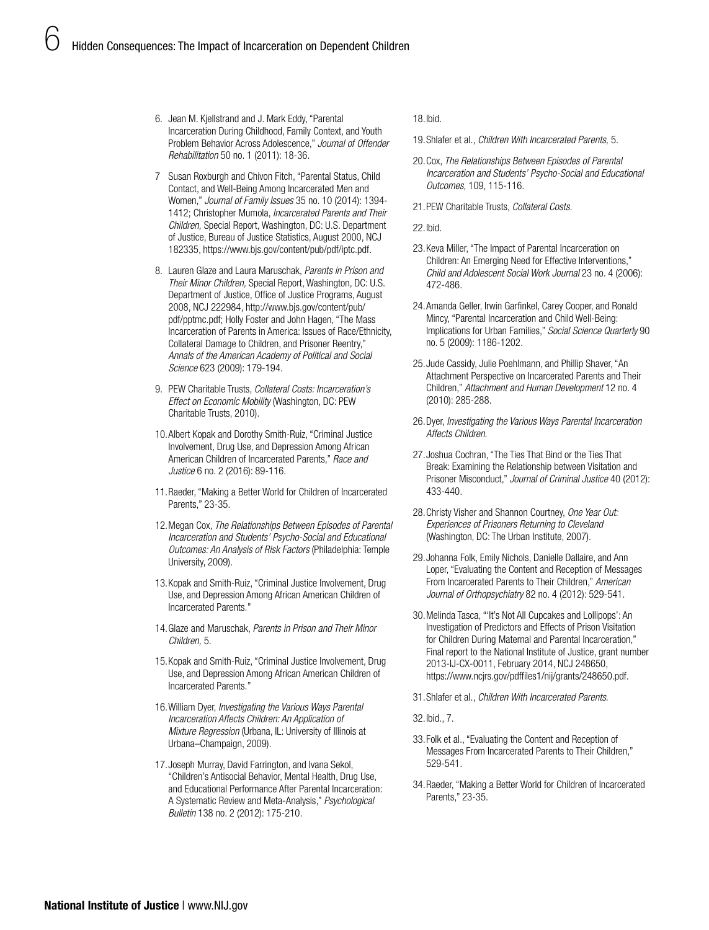- 6. Jean M. Kjellstrand and J. Mark Eddy, "Parental Incarceration During Childhood, Family Context, and Youth Problem Behavior Across Adolescence," *Journal of Offender Rehabilitation* 50 no. 1 (2011): 18-36.
- 7 Susan Roxburgh and Chivon Fitch, "Parental Status, Child Contact, and Well-Being Among Incarcerated Men and Women," *Journal of Family Issues* 35 no. 10 (2014): 1394- 1412; Christopher Mumola, *Incarcerated Parents and Their Children,* Special Report, Washington, DC: U.S. Department of Justice, Bureau of Justice Statistics, August 2000, NCJ 182335,<https://www.bjs.gov/content/pub/pdf/iptc.pdf>.
- 8. Lauren Glaze and Laura Maruschak, *Parents in Prison and Their Minor Children,* Special Report, Washington, DC: U.S. Department of Justice, Office of Justice Programs, August 2008, NCJ 222984, [http://www.bjs.gov/content/pub/](http://www.bjs.gov/content/pub/pdf/pptmc.pdf) [pdf/pptmc.pdf](http://www.bjs.gov/content/pub/pdf/pptmc.pdf); Holly Foster and John Hagen, "The Mass Incarceration of Parents in America: Issues of Race/Ethnicity, Collateral Damage to Children, and Prisoner Reentry," *Annals of the American Academy of Political and Social Science* 623 (2009): 179-194.
- 9. PEW Charitable Trusts, *Collateral Costs: Incarceration's Effect on Economic Mobility* (Washington, DC: PEW Charitable Trusts, 2010).
- 10.Albert Kopak and Dorothy Smith-Ruiz, "Criminal Justice Involvement, Drug Use, and Depression Among African American Children of Incarcerated Parents," *Race and Justice* 6 no. 2 (2016): 89-116.
- 11.Raeder, "Making a Better World for Children of Incarcerated Parents," 23-35.
- 12.Megan Cox, *The Relationships Between Episodes of Parental Incarceration and Students' Psycho-Social and Educational Outcomes: An Analysis of Risk Factors* (Philadelphia: Temple University, 2009).
- 13.Kopak and Smith-Ruiz, "Criminal Justice Involvement, Drug Use, and Depression Among African American Children of Incarcerated Parents."
- 14.Glaze and Maruschak, *Parents in Prison and Their Minor Children,* 5.
- 15.Kopak and Smith-Ruiz, "Criminal Justice Involvement, Drug Use, and Depression Among African American Children of Incarcerated Parents."
- 16.William Dyer, *Investigating the Various Ways Parental Incarceration Affects Children: An Application of Mixture Regression* (Urbana, IL: University of Illinois at Urbana–Champaign, 2009).
- 17.Joseph Murray, David Farrington, and Ivana Sekol, "Children's Antisocial Behavior, Mental Health, Drug Use, and Educational Performance After Parental Incarceration: A Systematic Review and Meta-Analysis," *Psychological Bulletin* 138 no. 2 (2012): 175-210.

#### 18.Ibid.

- 19.Shlafer et al., *Children With Incarcerated Parents,* 5.
- 20.Cox, *The Relationships Between Episodes of Parental Incarceration and Students' Psycho-Social and Educational Outcomes,* 109, 115-116.
- 21.PEW Charitable Trusts, *Collateral Costs.*

22.Ibid.

- 23.Keva Miller, "The Impact of Parental Incarceration on Children: An Emerging Need for Effective Interventions," *Child and Adolescent Social Work Journal* 23 no. 4 (2006): 472-486.
- 24.Amanda Geller, Irwin Garfinkel, Carey Cooper, and Ronald Mincy, "Parental Incarceration and Child Well-Being: Implications for Urban Families," *Social Science Quarterly* 90 no. 5 (2009): 1186-1202.
- 25.Jude Cassidy, Julie Poehlmann, and Phillip Shaver, "An Attachment Perspective on Incarcerated Parents and Their Children," *Attachment and Human Development* 12 no. 4 (2010): 285-288.
- 26.Dyer, *Investigating the Various Ways Parental Incarceration Affects Children*.
- 27.Joshua Cochran, "The Ties That Bind or the Ties That Break: Examining the Relationship between Visitation and Prisoner Misconduct," *Journal of Criminal Justice* 40 (2012): 433-440.
- 28.Christy Visher and Shannon Courtney, *One Year Out: Experiences of Prisoners Returning to Cleveland* (Washington, DC: The Urban Institute, 2007).
- 29.Johanna Folk, Emily Nichols, Danielle Dallaire, and Ann Loper, "Evaluating the Content and Reception of Messages From Incarcerated Parents to Their Children," *American Journal of Orthopsychiatry* 82 no. 4 (2012): 529-541.
- 30.Melinda Tasca, "'It's Not All Cupcakes and Lollipops': An Investigation of Predictors and Effects of Prison Visitation for Children During Maternal and Parental Incarceration," Final report to the National Institute of Justice, grant number 2013-IJ-CX-0011, February 2014, NCJ 248650, <https://www.ncjrs.gov/pdffiles1/nij/grants/248650.pdf>.
- 31.Shlafer et al., *Children With Incarcerated Parents*.

32.Ibid., 7.

- 33.Folk et al., "Evaluating the Content and Reception of Messages From Incarcerated Parents to Their Children," 529-541.
- 34.Raeder, "Making a Better World for Children of Incarcerated Parents," 23-35.